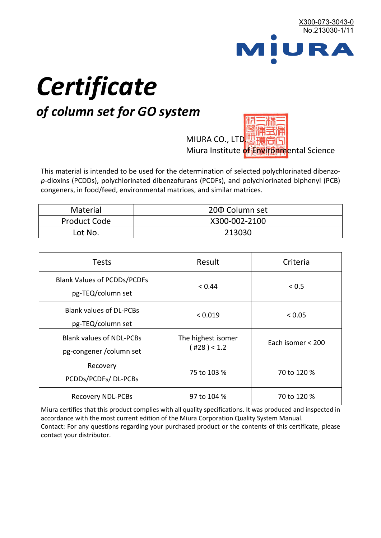

# *Certificate*

## *of column set for GO system*

MIURA CO., LTD. Miura Institute of 正版而解ental Science

This material is intended to be used for the determination of selected polychlorinated dibenzo*p*-dioxins (PCDDs), polychlorinated dibenzofurans (PCDFs), and polychlorinated biphenyl (PCB) congeners, in food/feed, environmental matrices, and similar matrices.

| <b>Material</b>     | 200 Column set |  |
|---------------------|----------------|--|
| <b>Product Code</b> | X300-002-2100  |  |
| Lot No.             | 213030         |  |

| <b>Tests</b>                                                | Result                            | Criteria          |  |
|-------------------------------------------------------------|-----------------------------------|-------------------|--|
| <b>Blank Values of PCDDs/PCDFs</b><br>pg-TEQ/column set     | < 0.44                            | < 0.5             |  |
| <b>Blank values of DL-PCBs</b><br>pg-TEQ/column set         | < 0.019                           | < 0.05            |  |
| <b>Blank values of NDL-PCBs</b><br>pg-congener / column set | The highest isomer<br>(428) < 1.2 | Each isomer < 200 |  |
| Recovery<br>PCDDs/PCDFs/DL-PCBs                             | 75 to 103 %                       | 70 to 120 %       |  |
| <b>Recovery NDL-PCBs</b>                                    | 97 to 104 %                       | 70 to 120 %       |  |

Miura certifies that this product complies with all quality specifications. It was produced and inspected in accordance with the most current edition of the Miura Corporation Quality System Manual. Contact: For any questions regarding your purchased product or the contents of this certificate, please contact your distributor.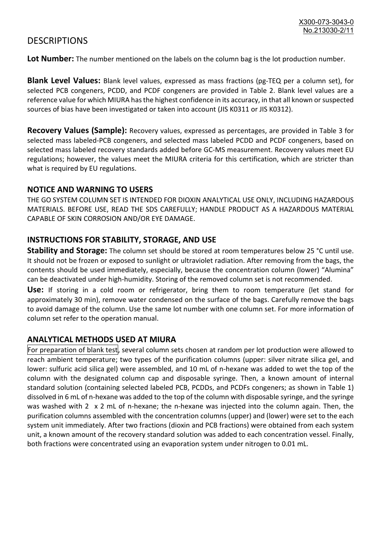### **DESCRIPTIONS**

**Lot Number:** The number mentioned on the labels on the column bag is the lot production number.

**Blank Level Values:** Blank level values, expressed as mass fractions (pg-TEQ per a column set), for selected PCB congeners, PCDD, and PCDF congeners are provided in Table 2. Blank level values are a reference value for which MIURA has the highest confidence in its accuracy, in that all known or suspected sources of bias have been investigated or taken into account (JIS K0311 or JIS K0312).

**Recovery Values (Sample):** Recovery values, expressed as percentages, are provided in Table 3 for selected mass labeled-PCB congeners, and selected mass labeled PCDD and PCDF congeners, based on selected mass labeled recovery standards added before GC-MS measurement. Recovery values meet EU regulations; however, the values meet the MIURA criteria for this certification, which are stricter than what is required by EU regulations.

#### **NOTICE AND WARNING TO USERS**

THE GO SYSTEM COLUMN SET IS INTENDED FOR DIOXIN ANALYTICAL USE ONLY, INCLUDING HAZARDOUS MATERIALS. BEFORE USE, READ THE SDS CAREFULLY; HANDLE PRODUCT AS A HAZARDOUS MATERIAL CAPABLE OF SKIN CORROSION AND/OR EYE DAMAGE.

#### **INSTRUCTIONS FOR STABILITY, STORAGE, AND USE**

**Stability and Storage:** The column set should be stored at room temperatures below 25 °C until use. It should not be frozen or exposed to sunlight or ultraviolet radiation. After removing from the bags, the contents should be used immediately, especially, because the concentration column (lower) "Alumina" can be deactivated under high-humidity. Storing of the removed column set is not recommended.

**Use:** If storing in a cold room or refrigerator, bring them to room temperature (let stand for approximately 30 min), remove water condensed on the surface of the bags. Carefully remove the bags to avoid damage of the column. Use the same lot number with one column set. For more information of column set refer to the operation manual.

#### **ANALYTICAL METHODS USED AT MIURA**

For preparation of blank test, several column sets chosen at random per lot production were allowed to reach ambient temperature; two types of the purification columns (upper: silver nitrate silica gel, and lower: sulfuric acid silica gel) were assembled, and 10 mL of n-hexane was added to wet the top of the column with the designated column cap and disposable syringe. Then, a known amount of internal standard solution (containing selected labeled PCB, PCDDs, and PCDFs congeners; as shown in Table 1) dissolved in 6 mL of n-hexane was added to the top of the column with disposable syringe, and the syringe was washed with 2 x 2 mL of n-hexane; the n-hexane was injected into the column again. Then, the purification columns assembled with the concentration columns (upper) and (lower) were set to the each system unit immediately. After two fractions (dioxin and PCB fractions) were obtained from each system unit, a known amount of the recovery standard solution was added to each concentration vessel. Finally, both fractions were concentrated using an evaporation system under nitrogen to 0.01 mL.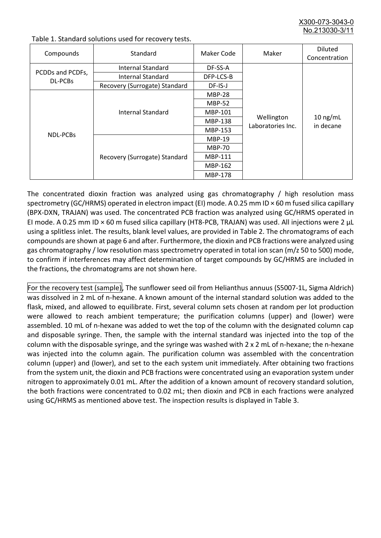X300-073-3043-0 No.213030-3/

| Compounds                   | Standard                      | Maker Code     | Maker                           | <b>Diluted</b><br>Concentration |
|-----------------------------|-------------------------------|----------------|---------------------------------|---------------------------------|
| PCDDs and PCDFs,<br>DL-PCBs | Internal Standard             | DF-SS-A        |                                 |                                 |
|                             | <b>Internal Standard</b>      | DFP-LCS-B      |                                 |                                 |
|                             | Recovery (Surrogate) Standard | DF-IS-J        | Wellington<br>Laboratories Inc. | $10$ ng/mL<br>in decane         |
| <b>NDL-PCBs</b>             | Internal Standard             | <b>MBP-28</b>  |                                 |                                 |
|                             |                               | <b>MBP-52</b>  |                                 |                                 |
|                             |                               | MBP-101        |                                 |                                 |
|                             |                               | <b>MBP-138</b> |                                 |                                 |
|                             |                               | MBP-153        |                                 |                                 |
|                             | Recovery (Surrogate) Standard | <b>MBP-19</b>  |                                 |                                 |
|                             |                               | <b>MBP-70</b>  |                                 |                                 |
|                             |                               | MBP-111        |                                 |                                 |
|                             |                               | MBP-162        |                                 |                                 |
|                             |                               | <b>MBP-178</b> |                                 |                                 |

Table 1. Standard solutions used for recovery tests.

The concentrated dioxin fraction was analyzed using gas chromatography / high resolution mass spectrometry (GC/HRMS) operated in electron impact (EI) mode. A 0.25 mm ID × 60 m fused silica capillary (BPX-DXN, TRAJAN) was used. The concentrated PCB fraction was analyzed using GC/HRMS operated in EI mode. A 0.25 mm ID × 60 m fused silica capillary (HT8-PCB, TRAJAN) was used. All injections were 2 μL using a splitless inlet. The results, blank level values, are provided in Table 2. The chromatograms of each compounds are shown at page 6 and after. Furthermore, the dioxin and PCB fractions were analyzed using gas chromatography / low resolution mass spectrometry operated in total ion scan (m/z 50 to 500) mode, to confirm if interferences may affect determination of target compounds by GC/HRMS are included in the fractions, the chromatograms are not shown here.

For the recovery test (sample), The sunflower seed oil from Helianthus annuus (S5007-1L, Sigma Aldrich) was dissolved in 2 mL of n-hexane. A known amount of the internal standard solution was added to the flask, mixed, and allowed to equilibrate. First, several column sets chosen at random per lot production were allowed to reach ambient temperature; the purification columns (upper) and (lower) were assembled. 10 mL of n-hexane was added to wet the top of the column with the designated column cap and disposable syringe. Then, the sample with the internal standard was injected into the top of the column with the disposable syringe, and the syringe was washed with 2 x 2 mL of n-hexane; the n-hexane was injected into the column again. The purification column was assembled with the concentration column (upper) and (lower), and set to the each system unit immediately. After obtaining two fractions from the system unit, the dioxin and PCB fractions were concentrated using an evaporation system under nitrogen to approximately 0.01 mL. After the addition of a known amount of recovery standard solution, the both fractions were concentrated to 0.02 mL; then dioxin and PCB in each fractions were analyzed using GC/HRMS as mentioned above test. The inspection results is displayed in Table 3.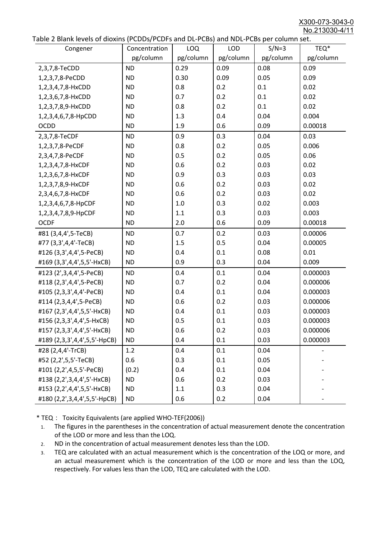X300-073-3043-0 No.213030-4/11

|  |  | Table 2 Blank levels of dioxins (PCDDs/PCDFs and DL-PCBs) and NDL-PCBs per column set. |
|--|--|----------------------------------------------------------------------------------------|
|--|--|----------------------------------------------------------------------------------------|

| able 2 Dialik levels of dioxilis (PCDDs/PCDFs and DL-PCDs) and NDL-PCDs per column set.<br>Congener | Concentration | LOQ       | LOD       | $S/N=3$   | TEQ*      |
|-----------------------------------------------------------------------------------------------------|---------------|-----------|-----------|-----------|-----------|
|                                                                                                     | pg/column     | pg/column | pg/column | pg/column | pg/column |
| 2,3,7,8-TeCDD                                                                                       | <b>ND</b>     | 0.29      | 0.09      | 0.08      | 0.09      |
| 1,2,3,7,8-PeCDD                                                                                     | <b>ND</b>     | 0.30      | 0.09      | 0.05      | 0.09      |
| 1,2,3,4,7,8-HxCDD                                                                                   | <b>ND</b>     | 0.8       | 0.2       | 0.1       | 0.02      |
| 1,2,3,6,7,8-HxCDD                                                                                   | <b>ND</b>     | 0.7       | 0.2       | 0.1       | 0.02      |
| 1,2,3,7,8,9-HxCDD                                                                                   | <b>ND</b>     | 0.8       | 0.2       | 0.1       | 0.02      |
| 1,2,3,4,6,7,8-HpCDD                                                                                 | <b>ND</b>     | 1.3       | 0.4       | 0.04      | 0.004     |
| <b>OCDD</b>                                                                                         | <b>ND</b>     | 1.9       | 0.6       | 0.09      | 0.00018   |
| 2,3,7,8-TeCDF                                                                                       | <b>ND</b>     | 0.9       | 0.3       | 0.04      | 0.03      |
| 1,2,3,7,8-PeCDF                                                                                     | <b>ND</b>     | 0.8       | 0.2       | 0.05      | 0.006     |
| 2,3,4,7,8-PeCDF                                                                                     | <b>ND</b>     | 0.5       | 0.2       | 0.05      | 0.06      |
| 1,2,3,4,7,8-HxCDF                                                                                   | <b>ND</b>     | 0.6       | 0.2       | 0.03      | 0.02      |
| 1,2,3,6,7,8-HxCDF                                                                                   | <b>ND</b>     | 0.9       | 0.3       | 0.03      | 0.03      |
| 1,2,3,7,8,9-HxCDF                                                                                   | <b>ND</b>     | 0.6       | 0.2       | 0.03      | 0.02      |
| 2,3,4,6,7,8-HxCDF                                                                                   | <b>ND</b>     | 0.6       | 0.2       | 0.03      | 0.02      |
| 1,2,3,4,6,7,8-HpCDF                                                                                 | <b>ND</b>     | 1.0       | 0.3       | 0.02      | 0.003     |
| 1,2,3,4,7,8,9-HpCDF                                                                                 | <b>ND</b>     | 1.1       | 0.3       | 0.03      | 0.003     |
| <b>OCDF</b>                                                                                         | <b>ND</b>     | 2.0       | 0.6       | 0.09      | 0.00018   |
| #81 (3,4,4',5-TeCB)                                                                                 | <b>ND</b>     | 0.7       | 0.2       | 0.03      | 0.00006   |
| #77 (3,3',4,4'-TeCB)                                                                                | <b>ND</b>     | 1.5       | 0.5       | 0.04      | 0.00005   |
| #126 (3,3',4,4',5-PeCB)                                                                             | <b>ND</b>     | 0.4       | 0.1       | 0.08      | 0.01      |
| #169 (3,3',4,4',5,5'-HxCB)                                                                          | <b>ND</b>     | 0.9       | 0.3       | 0.04      | 0.009     |
| #123 (2',3,4,4',5-PeCB)                                                                             | <b>ND</b>     | 0.4       | 0.1       | 0.04      | 0.000003  |
| #118 (2,3',4,4',5-PeCB)                                                                             | <b>ND</b>     | 0.7       | 0.2       | 0.04      | 0.000006  |
| #105 (2,3,3',4,4'-PeCB)                                                                             | <b>ND</b>     | 0.4       | 0.1       | 0.04      | 0.000003  |
| #114 (2,3,4,4',5-PeCB)                                                                              | <b>ND</b>     | 0.6       | 0.2       | 0.03      | 0.000006  |
| #167 (2,3',4,4',5,5'-HxCB)                                                                          | <b>ND</b>     | 0.4       | 0.1       | 0.03      | 0.000003  |
| #156 (2,3,3',4,4',5-HxCB)                                                                           | <b>ND</b>     | 0.5       | 0.1       | 0.03      | 0.000003  |
| #157 (2,3,3',4,4',5'-HxCB)                                                                          | <b>ND</b>     | 0.6       | 0.2       | 0.03      | 0.000006  |
| #189 (2,3,3',4,4',5,5'-HpCB)                                                                        | <b>ND</b>     | 0.4       | 0.1       | 0.03      | 0.000003  |
| #28 (2,4,4'-TrCB)                                                                                   | 1.2           | 0.4       | 0.1       | 0.04      |           |
| #52 (2,2',5,5'-TeCB)                                                                                | 0.6           | 0.3       | 0.1       | 0.05      |           |
| #101 (2,2',4,5,5'-PeCB)                                                                             | (0.2)         | 0.4       | 0.1       | 0.04      |           |
| #138 (2,2',3,4,4',5'-HxCB)                                                                          | <b>ND</b>     | 0.6       | 0.2       | 0.03      |           |
| #153 (2,2',4,4',5,5'-HxCB)                                                                          | <b>ND</b>     | 1.1       | 0.3       | 0.04      |           |
| #180 (2,2',3,4,4',5,5'-HpCB)                                                                        | <b>ND</b>     | 0.6       | 0.2       | 0.04      |           |

\* TEQ: Toxicity Equivalents (are applied WHO-TEF(2006))

- 1. The figures in the parentheses in the concentration of actual measurement denote the concentration of the LOD or more and less than the LOQ.
- 2. ND in the concentration of actual measurement denotes less than the LOD.
- 3. TEQ are calculated with an actual measurement which is the concentration of the LOQ or more, and an actual measurement which is the concentration of the LOD or more and less than the LOQ, respectively. For values less than the LOD, TEQ are calculated with the LOD.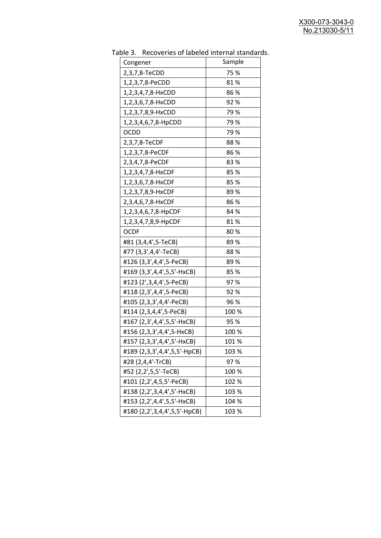| uwic<br><u>RECOVERTS OF RESERVED INTERNATION STATIONS</u> | Sample |
|-----------------------------------------------------------|--------|
| Congener                                                  |        |
| 2,3,7,8-TeCDD                                             | 75 %   |
| 1,2,3,7,8-PeCDD                                           | 81%    |
| 1,2,3,4,7,8-HxCDD                                         | 86%    |
| 1,2,3,6,7,8-HxCDD                                         | 92%    |
| 1,2,3,7,8,9-HxCDD                                         | 79 %   |
| 1,2,3,4,6,7,8-HpCDD                                       | 79%    |
| <b>OCDD</b>                                               | 79 %   |
| 2,3,7,8-TeCDF                                             | 88%    |
| 1,2,3,7,8-PeCDF                                           | 86%    |
| 2,3,4,7,8-PeCDF                                           | 83%    |
| 1,2,3,4,7,8-HxCDF                                         | 85 %   |
| 1,2,3,6,7,8-HxCDF                                         | 85%    |
| 1,2,3,7,8,9-HxCDF                                         | 89%    |
| 2,3,4,6,7,8-HxCDF                                         | 86%    |
| 1,2,3,4,6,7,8-HpCDF                                       | 84 %   |
| 1,2,3,4,7,8,9-HpCDF                                       | 81%    |
| <b>OCDF</b>                                               | 80%    |
| #81 (3,4,4',5-TeCB)                                       | 89%    |
| #77 (3,3',4,4'-TeCB)                                      | 88%    |
| #126 (3,3',4,4',5-PeCB)                                   | 89%    |
| #169 (3,3',4,4',5,5'-HxCB)                                | 85%    |
| #123 (2',3,4,4',5-PeCB)                                   | 97%    |
| #118 (2,3',4,4',5-PeCB)                                   | 92%    |
| #105 (2,3,3',4,4'-PeCB)                                   | 96 %   |
| #114 (2,3,4,4',5-PeCB)                                    | 100 %  |
| #167 (2,3',4,4',5,5'-HxCB)                                | 95 %   |
| #156 (2,3,3',4,4',5-HxCB)                                 | 100 %  |
| #157 (2,3,3',4,4',5'-HxCB)                                | 101%   |
| #189 (2,3,3',4,4',5,5'-HpCB)                              | 103 %  |
| #28 (2,4,4'-TrCB)                                         | 97%    |
| #52 (2,2',5,5'-TeCB)                                      | 100 %  |
| #101 (2,2',4,5,5'-PeCB)                                   | 102 %  |
| #138 (2,2',3,4,4',5'-HxCB)                                | 103 %  |
| #153 (2,2',4,4',5,5'-HxCB)                                | 104 %  |
| #180 (2,2',3,4,4',5,5'-HpCB)                              | 103 %  |

Table 3. Recoveries of labeled internal standards.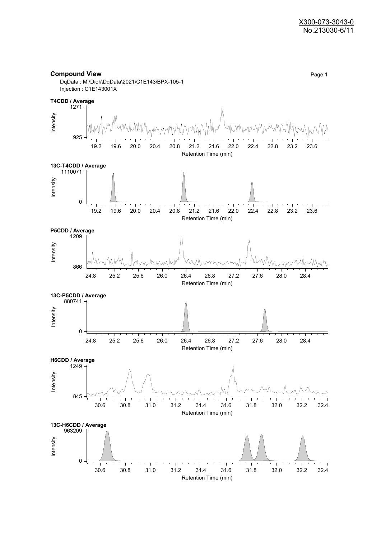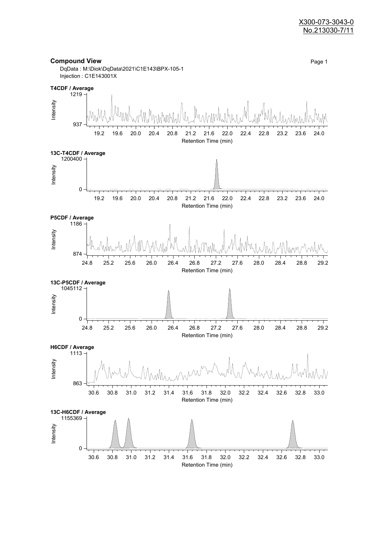#### X300-073-3043-0 No.213030-7/11

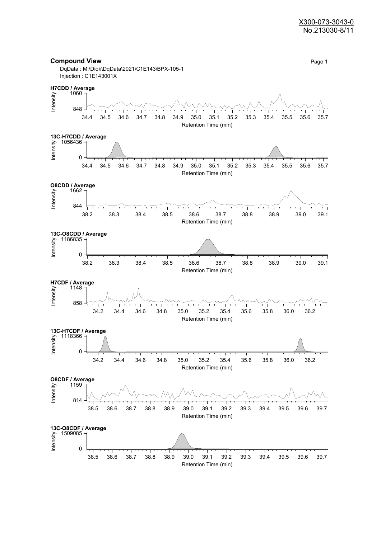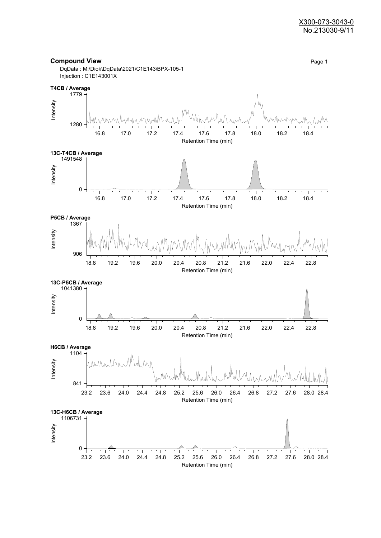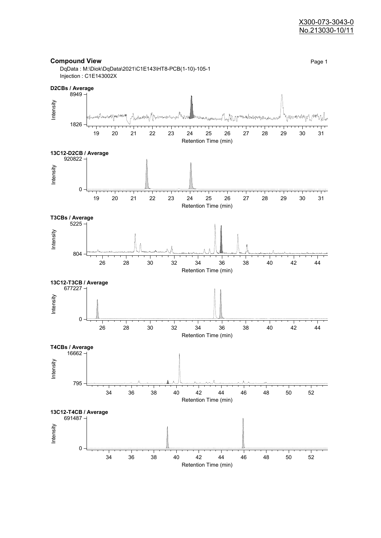